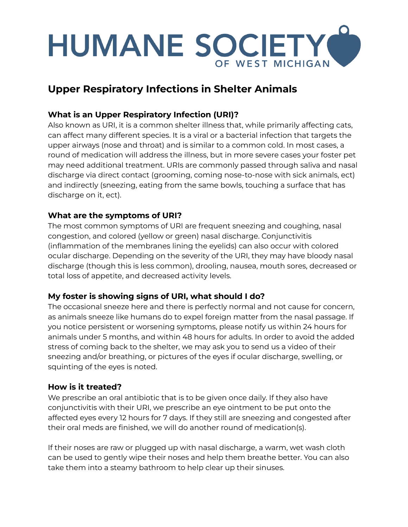# HUMANE SOCIETY OF WEST MICHIGAN

# **Upper Respiratory Infections in Shelter Animals**

## **What is an Upper Respiratory Infection (URI)?**

Also known as URI, it is a common shelter illness that, while primarily affecting cats, can affect many different species. It is a viral or a bacterial infection that targets the upper airways (nose and throat) and is similar to a common cold. In most cases, a round of medication will address the illness, but in more severe cases your foster pet may need additional treatment. URIs are commonly passed through saliva and nasal discharge via direct contact (grooming, coming nose-to-nose with sick animals, ect) and indirectly (sneezing, eating from the same bowls, touching a surface that has discharge on it, ect).

#### **What are the symptoms of URI?**

The most common symptoms of URI are frequent sneezing and coughing, nasal congestion, and colored (yellow or green) nasal discharge. Conjunctivitis (inflammation of the membranes lining the eyelids) can also occur with colored ocular discharge. Depending on the severity of the URI, they may have bloody nasal discharge (though this is less common), drooling, nausea, mouth sores, decreased or total loss of appetite, and decreased activity levels.

### **My foster is showing signs of URI, what should I do?**

The occasional sneeze here and there is perfectly normal and not cause for concern, as animals sneeze like humans do to expel foreign matter from the nasal passage. If you notice persistent or worsening symptoms, please notify us within 24 hours for animals under 5 months, and within 48 hours for adults. In order to avoid the added stress of coming back to the shelter, we may ask you to send us a video of their sneezing and/or breathing, or pictures of the eyes if ocular discharge, swelling, or squinting of the eyes is noted.

#### **How is it treated?**

We prescribe an oral antibiotic that is to be given once daily. If they also have conjunctivitis with their URI, we prescribe an eye ointment to be put onto the affected eyes every 12 hours for 7 days. If they still are sneezing and congested after their oral meds are finished, we will do another round of medication(s).

If their noses are raw or plugged up with nasal discharge, a warm, wet wash cloth can be used to gently wipe their noses and help them breathe better. You can also take them into a steamy bathroom to help clear up their sinuses.